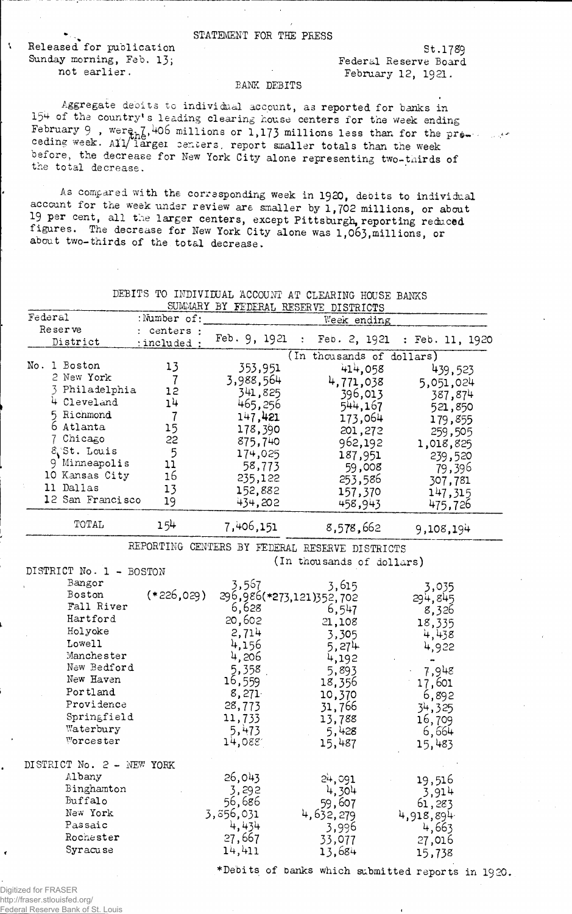## STATEMENT FOE THE PRESS

Released for publication St.1789 Sunday morning, Feb. 13; Federal Reserve Board

 $\mathbf{r}$ 

not earlier.<br>
February 12, 1921.

## BANK DEBITS

Aggregate deoits *to* individual account, as reported for banks in 154 of the country's leading clearing house centers for the week ending February 9, were  $h^2$ , 406 millions or 1,173 millions less than for the premis ceding week. Ail/ larger centers, report smaller totals than the week before, the decrease for New York City alone representing two-thirds of the total decrease.

As compared with the corresponding week in 1920, deoits to individual account for the week under review are smaller by  $1,702$  millions, or about 19 per cent, all the larger centers, except Pittsburgh, reporting reduced figures. The decrease for New York City alone was 1,063, millions, or about two—thirds of the total decrease.

|                           | SUMMARY BY FEDERAL RESERVE DISTRICTS |                                                |                           |                                                   |  |  |
|---------------------------|--------------------------------------|------------------------------------------------|---------------------------|---------------------------------------------------|--|--|
| Federal                   | :Number of:<br>Week ending           |                                                |                           |                                                   |  |  |
| Reserve                   | : centers :                          |                                                |                           |                                                   |  |  |
| District                  | :included:                           | Feb. $9, 1921$<br>÷                            | Feb. 2, 1921              | : Feb. 11, 1920                                   |  |  |
|                           |                                      |                                                | (In thousands of dollars) |                                                   |  |  |
| No. 1 Boston              | 13                                   | 353,951                                        | 414,058                   | 439,523                                           |  |  |
| 2 New York                | $\overline{7}$                       | 3,988,564                                      | 4,771,038                 | 5,051,024                                         |  |  |
| 3 Philadelphia            | 12                                   | 341,825                                        | 396,013                   | 387,874                                           |  |  |
| 4 Cleveland               | 1 <sup>1</sup>                       | 465,256                                        | 544,167                   | 521,850                                           |  |  |
| 5 Richmond                | 7                                    | 147,421                                        | 173,064                   | 179,855                                           |  |  |
| 6 Atlanta                 | 15                                   | 178,390                                        | 201,272                   | 259,505                                           |  |  |
| 7 Chicago                 | 22                                   | 875,740                                        | 962,192                   | 1,018,825                                         |  |  |
| & St. Louis               | 5                                    | 174,025<br>187,951                             |                           | 239,520                                           |  |  |
| 9 Minneapolis             | 11                                   | 58,773<br>59,008                               |                           | 79,396                                            |  |  |
| 10 Kansas City            | 16                                   | 235,122<br>253,586                             |                           | 307,781                                           |  |  |
| ÷,<br>11 Dallas           | 13                                   | 152,882                                        | 157,370                   | 147,315                                           |  |  |
| 12 San Francisco          | 19                                   | 434,202                                        | 458,943                   | 475,726                                           |  |  |
| TOTAL                     | 154                                  | 7,406,151                                      | 8,578,662                 | 9,108,194                                         |  |  |
|                           |                                      |                                                |                           |                                                   |  |  |
|                           |                                      | REPORTING CENTERS BY FEDERAL RESERVE DISTRICTS |                           |                                                   |  |  |
|                           |                                      |                                                | (In thousands of dollars) |                                                   |  |  |
| DISTRICT No. 1 - BOSTON   |                                      |                                                |                           |                                                   |  |  |
| Bangor                    |                                      | 3,567                                          | 3,615                     | 3,035                                             |  |  |
| Boston                    | $(*226,029)$                         | 296,986(*273,121)352,702                       |                           | 294,845                                           |  |  |
| Fall River                |                                      | 6,628                                          | 6,547                     | 8,326                                             |  |  |
| Hartford                  |                                      | 20,602                                         | 21,108                    | 18,335                                            |  |  |
| Holyoke                   |                                      | 2,714                                          | 3,305                     | 4,438                                             |  |  |
| Lowell                    |                                      | 4,156                                          | 5,274                     | 4,922                                             |  |  |
| Manchester                |                                      | 4,206                                          | 4,192                     |                                                   |  |  |
| New Bedford               |                                      | 5,358                                          | 5,893                     | 7,948                                             |  |  |
| New Haven                 |                                      | 16,559                                         | 18,356                    | 17,601                                            |  |  |
| Portland                  | 8,271                                |                                                | 10,370                    | 6,892                                             |  |  |
| Providence                |                                      | 28,773                                         | 31,766                    | 34,325                                            |  |  |
| Springfield               |                                      | 11,733                                         | 13,788                    | 16,709                                            |  |  |
| Waterbury                 |                                      | 5,473                                          | 5,428                     | 6,664                                             |  |  |
| Worcester                 |                                      | 14,088                                         | 15,487                    | 15,483                                            |  |  |
|                           |                                      |                                                |                           |                                                   |  |  |
| DISTRICT No. 2 - NEW YORK |                                      |                                                |                           |                                                   |  |  |
| Albany                    |                                      | 26,043                                         | 24,091                    | 19,516                                            |  |  |
| Binghamton                |                                      | 3,292                                          | 4,304                     | 3,914                                             |  |  |
| Buffalo                   |                                      | 56,686                                         | 59,607                    | 61,283                                            |  |  |
| New York                  |                                      | 3,856,031                                      | 4,632,279                 | 4,918,894                                         |  |  |
| Passaic                   |                                      | 4,434                                          | 3,996                     | 4,663                                             |  |  |
| Rochester                 |                                      | 27,667                                         | 33,077                    | 27,016                                            |  |  |
| Syracuse                  |                                      | 14,411                                         | 13,684                    | 15,738                                            |  |  |
|                           |                                      |                                                |                           |                                                   |  |  |
|                           |                                      |                                                |                           | *Debits of banks which submitted reports in 1920. |  |  |

DEBITS TO INDIVIDUAL ACCOUNT AT CLEARING HOUSE BANKS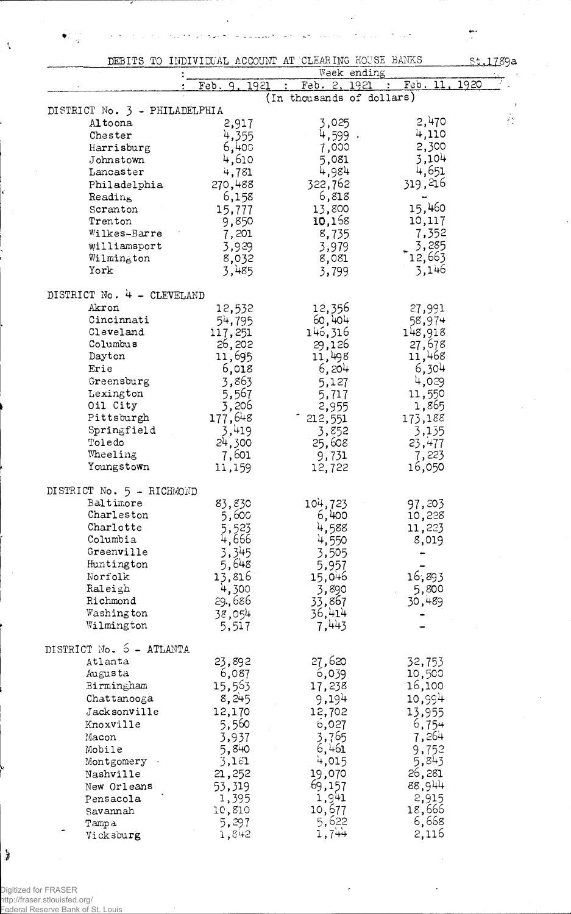| DEBITS TO INDIVIDUAL ACCOUNT AT CLEARING HOUSE BANKS                     | St.1789a                             |
|--------------------------------------------------------------------------|--------------------------------------|
| Week ending<br>Feb.<br>Feb. 2, 1921<br>1921<br>$\sim$ 100 $\pm$<br>Feb.9 | 11,<br>1920                          |
| (In thousands of dollars)                                                |                                      |
| DISTRICT No. 3 - PHILADELPHIA                                            |                                      |
| 3,025<br>Altoona<br>2,917                                                | $\mathcal{E}^{\mathcal{A}}$<br>2,470 |
| 4,599.<br>4,355<br>Chester                                               | 4,110                                |
| 6,400<br>7,000<br>Harrisburg                                             | 2,300                                |
| 4,610<br>5,081<br>Johnstown                                              | 3,104                                |
| 4,984<br>4,781<br>Lancaster                                              | 4,651                                |
| 319,216<br>322,762<br>270,488<br>Philadelphia                            |                                      |
| 6,818<br>6,158<br>Reading                                                |                                      |
| 15,460<br>13,800<br>Scranton<br>15,777<br>10,168<br>10,117<br>Trenton    |                                      |
| 9,850<br>8,735<br>Wilkes-Barre                                           | 7,352                                |
| 7,201<br>Williamsport<br>3,929<br>3,979                                  | 3,285                                |
| 12,663<br>Wilmington<br>8,032<br>8,081                                   |                                      |
| York<br>3,485<br>3,799                                                   | 3,146                                |
|                                                                          |                                      |
| DISTRICT No. 4 - CLEVELAND<br>12,356<br>Akron<br>27,991                  |                                      |
| 12,532<br>60,404<br>Cincinnati<br>54,795<br>58,974                       |                                      |
| 146,316<br>148,918<br>Cleveland<br>117,251                               |                                      |
| 26,202<br>Columbus<br>29,126                                             | 27,678                               |
| 11,695<br>11,468<br>Dayton<br>11,498                                     |                                      |
| 6,018<br>6,204<br>Erie                                                   | 6,304                                |
| 3,863<br>Greensburg<br>5,127                                             | 4,029                                |
| 5,567<br>Lexington<br>11,550<br>5,717                                    |                                      |
| 3,206<br>Oil City<br>2,955                                               | 1,865                                |
| 177,648<br>Pittsburgh<br>173,188<br>212,551                              |                                      |
| 3,419<br>Springfield<br>3,852                                            | 3,135                                |
| Toledo<br>24,300<br>25,608<br>23,477                                     |                                      |
| 7,601<br>Wheeling<br>9,731                                               | 7,223                                |
| Youngstown<br>11,159<br>16,050<br>12,722                                 |                                      |
| DISTRICT No. 5 - RICHMOND                                                |                                      |
| Baltimore<br>104,723<br>83,830<br>97,203                                 |                                      |
| Charleston<br>5,600<br>6,400<br>10,228                                   |                                      |
| Charlotte<br>5,523<br>4,588<br>11,223<br>Columbia                        |                                      |
| 4,666<br>4,550<br>3,345<br>Greenville                                    | 8,019                                |
| 3,505<br>5,648<br>Huntington<br>5,957                                    |                                      |
| Norfolk<br>13,816<br>16,893<br>15,046                                    |                                      |
| 4,300<br>Raleigh<br>3,890                                                | 5,800                                |
| Richmond<br>29.,686<br>33,867<br>30,489                                  |                                      |
| 36,414<br>38,054<br>Washington                                           |                                      |
| 7,443<br>Wilmington<br>5,517                                             |                                      |
| DISTRICT No. 5 - ATLANTA                                                 |                                      |
| 27,620<br>23,892<br>Atlanta<br>32,753                                    |                                      |
| 6,087<br>Augusta<br>10,500<br>6,039                                      |                                      |
| 15,563<br>Birmingham<br>16,100<br>17,238                                 |                                      |
| 8,245<br>10,994<br>9,194<br>Chattanooga                                  |                                      |
| Jacksonville<br>12,170<br>12,702<br>13,955                               |                                      |
| 5,560<br>6,027<br>Knoxville                                              | 6,754                                |
| 3,765<br>3,937<br>Macon                                                  | 7,264                                |
| 5,840<br>6,461<br>Mobile                                                 | 9,752                                |
| 3,181<br>4,015<br>Montgomery .                                           | 5,843                                |
| 26,281<br>21,252<br>19,070<br>Nashville                                  |                                      |
| 88,944<br>53,319<br>69,157<br>New Orleans                                |                                      |
| 1,395<br>$\frac{1,941}{10,677}$<br>Pensacola                             | 2,915                                |
| 18,666<br>10,810<br>Savannah<br>5,622                                    | 6,668                                |
| 5,297<br>Tampa<br>1,744<br>1,842<br>Vicksburg                            | 2,116                                |

l,

 $\frac{1}{2}$ 

 $\zeta$ 

l,

 $\frac{1}{2}$ 

Digitized for FRASER http://fraser.stlouisfed.org/ Federal Reserve Bank of St. Louis

İ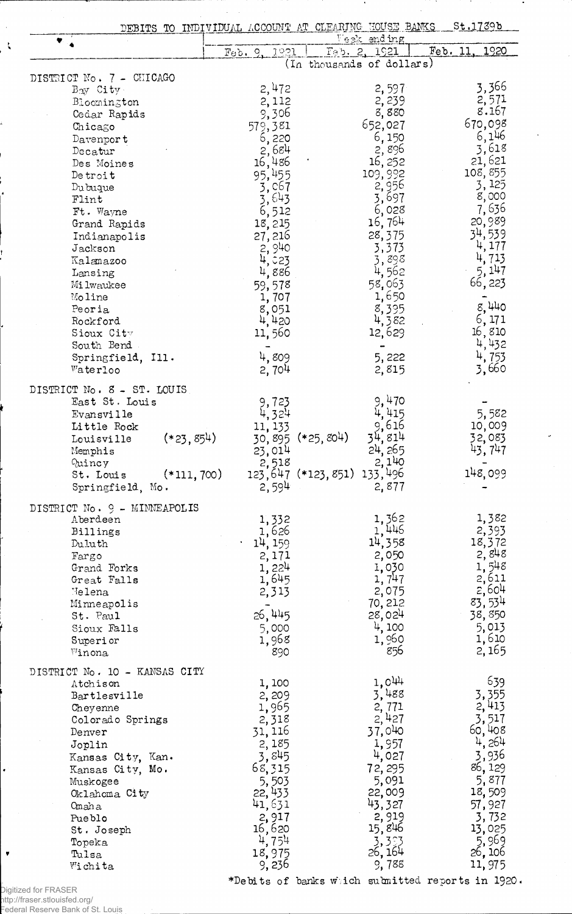| DEBITS TO INDIVIDUAL ACCOUNT AT CLEARING HOUSE BANKS |                               |                                           |                 | St.1739b                                         |
|------------------------------------------------------|-------------------------------|-------------------------------------------|-----------------|--------------------------------------------------|
|                                                      |                               |                                           | Veek ending     |                                                  |
|                                                      | Feb.9<br>1921                 | Teb. 2, 1921<br>(In thousands of dollars) |                 | 1920<br>Feb. 11                                  |
|                                                      |                               |                                           |                 |                                                  |
| DISTRICT No. 7 - CHICAGO<br>Bay City.                | 2,472                         |                                           | 2,597           | 3,366                                            |
|                                                      | 2,112                         |                                           | 2,239           | 2,571                                            |
| Bloomington                                          | 9,306                         |                                           | 8,880           | 8.167                                            |
| Cedar Rapids                                         |                               |                                           | 652,027         | 670,098                                          |
| Chicago                                              | 579,381                       |                                           | 6,150           | 6,146                                            |
| Davenport                                            | 6,220<br>2,684                |                                           | 2,896           | 3,618                                            |
| Decatur                                              |                               |                                           | 16, 252         | 21,621                                           |
| Des Moines                                           | 16,486                        |                                           | 109,992         | 108,855                                          |
| Detroit                                              | 95,455                        |                                           |                 | 3,125                                            |
| Du buque                                             | 3,067                         |                                           | 2,956<br>3,697  | 8,000                                            |
| Flint                                                | $\frac{3}{6}$ , 643<br>6, 512 |                                           |                 | 7,636                                            |
| Ft. Wayne                                            |                               |                                           | 6,028<br>16,764 | 20,989                                           |
| Grand Rapids                                         | 18,215                        |                                           |                 | 34,539                                           |
| Indianapolis                                         | 27, 216                       |                                           | 28,375          |                                                  |
| Jackson                                              | 2,940                         |                                           | 3,373           | 4,177                                            |
| Kalamazoo                                            | 4,023                         |                                           | 3,898           | 4.<br>713                                        |
| Lansing                                              | 4,886                         |                                           | 4,562           | 5,147                                            |
| Milwaukee                                            | 59,578                        |                                           | 58,063          | 66,223                                           |
| Moline                                               | 1,707                         |                                           | 1,650           |                                                  |
| Peoria                                               | 8,051                         |                                           | 8,395           | 8,440                                            |
| Rockford                                             | 4,420                         |                                           | 4,382           | 6,171                                            |
| Sioux City                                           | 11,560                        |                                           | 12,629          | 16,810                                           |
| South Bend                                           |                               |                                           |                 | 4,432                                            |
| Springfield, Ill.                                    | 4,809                         |                                           | 5,222           | 4,753                                            |
| Waterloo                                             | 2,704                         |                                           | 2,815           | 3,660                                            |
| DISTRICT No. 8 - ST. LOUIS                           |                               |                                           |                 |                                                  |
| East St. Louis                                       |                               |                                           | 9,470           |                                                  |
|                                                      | 9,723                         |                                           | 4,415           | 5,582                                            |
| Evansville                                           | 4,324                         |                                           | 9,616           |                                                  |
| Little Rock                                          | 11, 133                       |                                           |                 | 10,009                                           |
| $(*23,854)$<br>Louisville                            | 30,895                        | $(*25,804)$                               | 34,<br>814      | 32,083                                           |
| Memphis                                              | 23,014                        |                                           | 24, 265         | 43, 747                                          |
| Quincy                                               | 2,518                         |                                           | 2,140           |                                                  |
| $(*111, 700)$<br>St. Louis                           |                               | 123,647 (*123,851) 133,496                |                 | 148,099                                          |
| Springfield, Mo.                                     | 2,594                         |                                           | 2,877           |                                                  |
| DISTRICT No. 9 - MINNEAPOLIS                         |                               |                                           |                 |                                                  |
| Aberdeen                                             | 1,332                         |                                           |                 | 1,382                                            |
| Billings                                             | 1,626                         |                                           | 1,362<br>1,446  | 2,393                                            |
| Duluth                                               | 14, 159                       |                                           | 14,358          | 18,372                                           |
| Fargo                                                | 2,171                         |                                           | 2,050           | 2,848                                            |
| Grand Forks                                          | 1,224                         |                                           | 1,030           | 1,548                                            |
| Great Falls                                          | 1,645                         |                                           | 1, 747          | 2,611                                            |
| Helena                                               | 2,313                         |                                           | 2,075           | 2,604                                            |
| Minneapolis                                          |                               |                                           | 70, 212         | 83,534                                           |
| St. Paul                                             | 26,445                        |                                           | 28,024          | 38,850                                           |
| Sioux Falls                                          | 5,000                         |                                           | 4,100           | 5,013                                            |
| Superior                                             | 1,968                         |                                           | 1,960           | 1,610                                            |
| Winona                                               | 890                           |                                           | 856             | 2,165                                            |
|                                                      |                               |                                           |                 |                                                  |
| DISTRICT No. 10 - KANSAS CITY                        |                               |                                           |                 |                                                  |
| Atchison                                             | 1,100                         |                                           | $1,0^{44}$      | 639                                              |
| Bartlesville                                         | 2,209                         |                                           | 3,488           | 3,355                                            |
| Cheyenne                                             | 1,965                         |                                           | 2,771           | 2,413                                            |
| Colorado Springs                                     | 2,318                         |                                           | 2,427           | 3,517                                            |
| Denver                                               | 31, 116                       |                                           | 37,040          | 60,408                                           |
| Joplin                                               | 2,185                         |                                           | 1,957           | 4,264                                            |
| Kansas City, Kan.                                    | 3,845                         |                                           | 4,027           | 3,936                                            |
| Kansas City, Mo.                                     | 68,315                        |                                           | 72, 295         | 86, 129                                          |
| Muskogee                                             | 5,503                         |                                           | 5,091           | 5,877                                            |
| Oklahoma City                                        | 22, 433                       |                                           | 22,009          | 18,509                                           |
| Omaha                                                | 41,631                        |                                           | 43,327          | 57,927                                           |
| Pueblo                                               | 2,917                         |                                           | 2,919           | 3,732                                            |
| St. Joseph                                           | 16,620                        |                                           | 15,846          | 13,025                                           |
| Topeka                                               | 4,754                         |                                           | 3,393           | 5,969                                            |
| Tulsa                                                | 18,975                        |                                           | 26, 164         | 26, 106                                          |
| Wichita                                              | 9, 236                        |                                           | 9,788           | 11,975                                           |
|                                                      |                               |                                           |                 | *Debits of banks witch submitted reports in 1920 |

 $\alpha=1$ 

 $\ddot{\phantom{a}}$  $\mathbf{R}$ 

.<br>Digitized for FRASER<br>http://fraser.stlouisfed.org/<br>Federal Reserve Bank of St. Louis

 $\bullet$